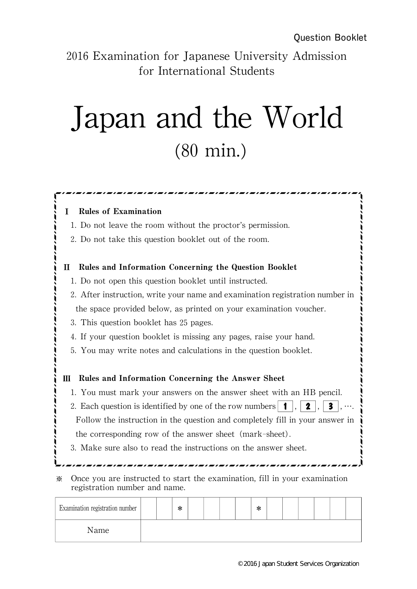2016 Examination for Japanese University Admission for International Students

## Japan and the World (80 min.)

## Rules of Examination 1.Do not leave the room without the proctor's permission. 2.Do not take this question booklet out of the room. Rules and Information Concerning the Question Booklet 1.Do not open this question booklet until instructed. 2. After instruction, write your name and examination registration number in the space provided below, as printed on your examination voucher. 3. This question booklet has 25 pages. 4. If your question booklet is missing any pages, raise your hand. 5.You may write notes and calculations in the question booklet. III Rules and Information Concerning the Answer Sheet 1.You must mark your answers on the answer sheet with an HB pencil. 2. Each question is identified by one of the row numbers, **1**, **2**, **2**, **3**, Follow the instruction in the question and completely fill in your answer in the corresponding row of the answer sheet (mark-sheet). 3.Make sure also to read the instructions on the answer sheet. 쟯 쟯 쟯 쟯 쟯 쟯 쟯 쟯  $\ddot{\cdot}$  $\ddot{\cdot}$ 쟯 쟯 쟯 쟯 쟯 쟯 쟯  $\frac{1}{1}$ 쟯 쟯 쟯 쟯 쟯  $\frac{1}{2}$  $\frac{1}{2}$ 쟯 쟙쟙쟙쟙쟙쟙쟙쟙쟙쟙쟙쟙쟙쟙쟙 쟙쟙쟙쟙쟙쟙쟙쟙쟙쟙쟙쟙쟙쟙쟙 ※ Once you are instructed to start the examination,fill in your examination registration number and name.

| Examination registration number |  | ∗ |  |  | ∗ |  |  |  |
|---------------------------------|--|---|--|--|---|--|--|--|
| Name                            |  |   |  |  |   |  |  |  |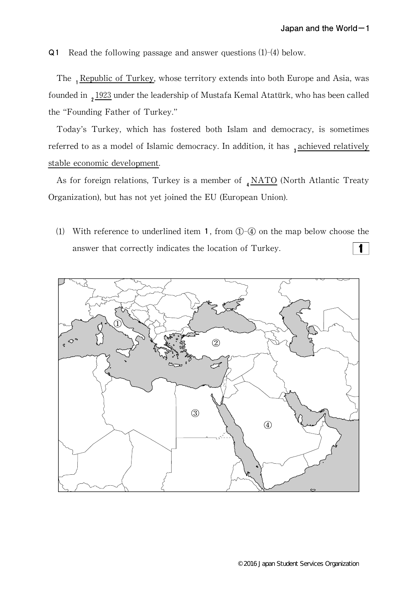Q1 Read the following passage and answer questions (1)-(4) below.

The 1Re ublic of Turkey, whose territory extends into both Europe and Asia, was founded in  $21923$  under the leadership of Mustafa Kemal Atatürk, who has been called the"Founding Father of Turkey."

Today's Turkey, which has fostered both Islam and democracy, is sometimes referred to as a model of Islamic democracy. In addition, it has  $_3$  achieved relatively stable economic development.

As for foreign relations, Turkey is a member of  $_4$ NATO (North Atlantic Treaty Organization), but has not yet joined the EU (European Union).

(1) With reference to underlined item 1, from  $\mathbb{D}$ - $\mathbb{Q}$  on the map below choose the answer that correctly indicates the location of Turkey.  $\mathbf{1}$ 

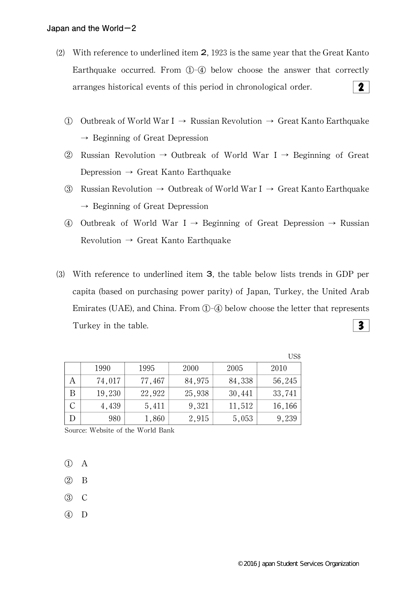- ⑵ With reference to underlined item 2,1923 is the same year that the Great Kanto Earthquake occurred. From  $(1)$ - $(4)$  below choose the answer that correctly  $2<sup>1</sup>$ arranges historical events of this period in chronological order.
	- ① Outbreak of World War I→ Russian Revolution→ Great Kanto Earthquake  $\rightarrow$  Beginning of Great Depression
	- ② Russian Revolution→ Outbreak of World War I→ Beginning of Great Depression  $\rightarrow$  Great Kanto Earthquake
	- ③ Russian Revolution→ Outbreak of World War I→ Great Kanto Earthquake  $\rightarrow$  Beginning of Great Depression
	- ④ Outbreak of World War I→ Beginning of Great Depression→ Russian Revolution  $\rightarrow$  Great Kanto Earthquake
- ⑶ With reference to underlined item 3,the table below lists trends in GDP per capita (based on purchasing power parity) of Japan, Turkey, the United Arab Emirates (UAE), and China. From  $\mathbb{O}(\sqrt{4})$  below choose the letter that represents  $3<sup>7</sup>$ Turkey in the table.

|   |        |        |        |        | US\$   |
|---|--------|--------|--------|--------|--------|
|   | 1990   | 1995   | 2000   | 2005   | 2010   |
| А | 74,017 | 77,467 | 84,975 | 84,338 | 56,245 |
| В | 19,230 | 22,922 | 25,938 | 30,441 | 33,741 |
| С | 4,439  | 5,411  | 9,321  | 11,512 | 16,166 |
| D | 980    | 1,860  | 2,915  | 5,053  | 9,239  |

Source: Website of the World Bank

- ① A
- ② B
- ③ C
- ④ D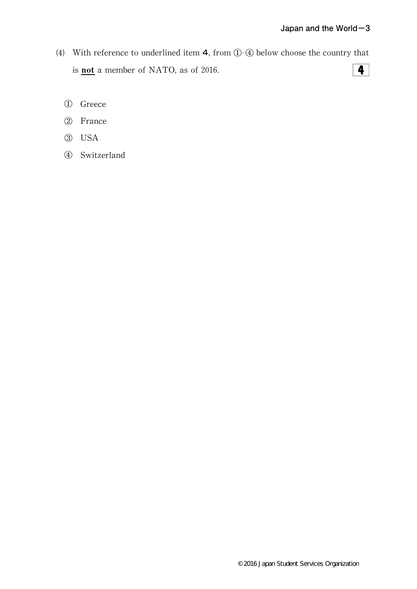- (4) With reference to underlined item  $4$ , from  $\bigoplus$ - $\bigoplus$  below choose the country that is **not** a member of NATO, as of 2016.  $\overline{4}$ 
	- ① Greece
	- ② France
	- ③ USA
	- ④ Switzerland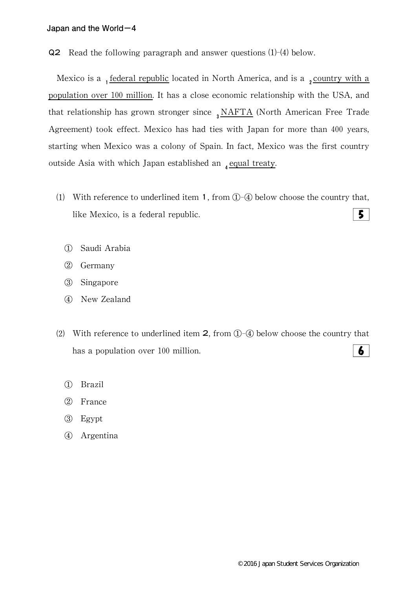Q2 Read the following paragraph and answer questions (1)-(4) below.

Mexico is a  $_1$  federal republic located in North America, and is a  $_2$  country with a population over 100 million. It has a close economic relationship with the USA, and that relationship has grown stronger since  $_3$  NAFTA (North American Free Trade Agreement) took effect. Mexico has had ties with Japan for more than 400 years, starting when Mexico was a colony of Spain.In fact,Mexico was the first country outside Asia with which Japan established an  $_4$  equal treaty.

- (1) With reference to underlined item 1, from  $\textcircled{1}$ - $\textcircled{4}$  below choose the country that,  $5<sup>1</sup>$ like Mexico, is a federal republic.
	- ① Saudi Arabia
	- ② Germany
	- ③ Singapore
	- ④ New Zealand
- (2) With reference to underlined item  $2$ , from  $\mathbb{O}(\sqrt{4})$  below choose the country that has a population over 100 million. 6
	- ① Brazil
	- ② France
	- ③ Egypt
	- ④ Argentina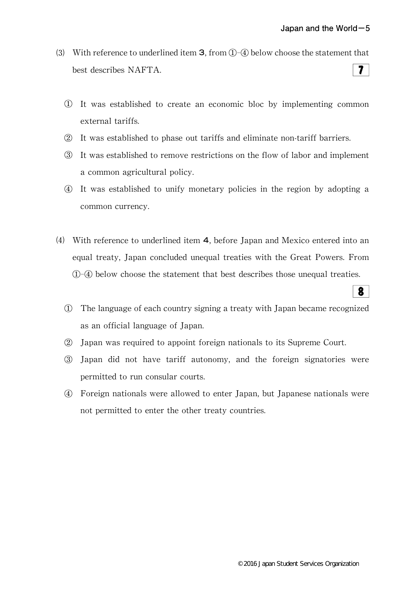8

- (3) With reference to underlined item **3**, from  $(1)$ - $(4)$  below choose the statement that  $7<sup>1</sup>$ best describes NAFTA.
	- ① It was established to create an economic bloc by implementing common external tariffs.
	- ② It was established to phase out tariffs and eliminate non-tariff barriers.
	- ③ It was established to remove restrictions on the flow of labor and implement a common agricultural policy.
	- ④ It was established to unify monetary policies in the region by adopting a common currency.
- (4) With reference to underlined item  $4$ , before Japan and Mexico entered into an equal treaty, Japan concluded unequal treaties with the Great Powers. From ①-④ below choose the statement that best describes those unequal treaties.
	- ① The language of each country signing a treaty with Japan became recognized as an official language of Japan.
	- ② Japan was required to appoint foreign nationals to its Supreme Court.
	- ③ Japan did not have tariff autonomy,and the foreign signatories were permitted to run consular courts.
	- ④ Foreign nationals were allowed to enter Japan,but Japanese nationals were not permitted to enter the other treaty countries.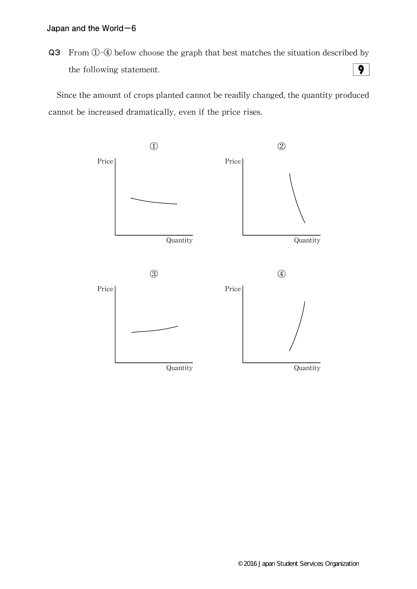Q3 From ①-④ below choose the graph that best matches the situation described by  $\overline{9}$ the following statement.

Since the amount of crops planted cannot be readily changed, the quantity produced cannot be increased dramatically, even if the price rises.

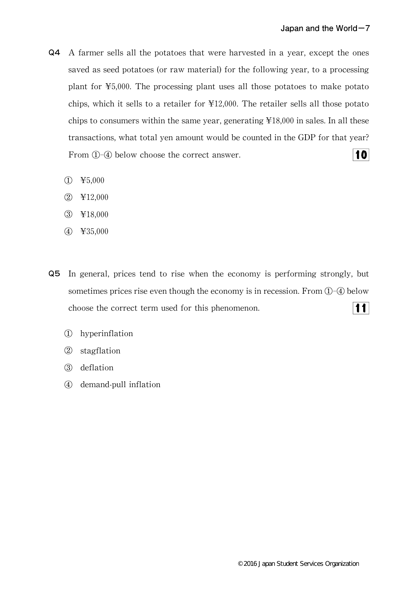- **Q4** A farmer sells all the potatoes that were harvested in a year, except the ones saved as seed potatoes (or raw material) for the following year, to a processing plant for¥5,000.The processing plant uses all those potatoes to make potato chips, which it sells to a retailer for  $\text{\textsterling}12,000$ . The retailer sells all those potato chips to consumers within the same year, generating  $\text{\#18,000}$  in sales. In all these transactions, what total yen amount would be counted in the GDP for that year?  $|10|$ From  $(1)$ - $(4)$  below choose the correct answer.
	- $(D \quad \text{\textsterling}5,000$
	- ② ¥12,000
	- ③ ¥18,000
	- ④ ¥35,000
- **Q5** In general, prices tend to rise when the economy is performing strongly, but sometimes prices rise even though the economy is in recession. From  $(1)$ - $(4)$  below  $|11|$ choose the correct term used for this phenomenon.
	- ① hyperinflation
	- ② stagflation
	- ③ deflation
	- ④ demand-pull inflation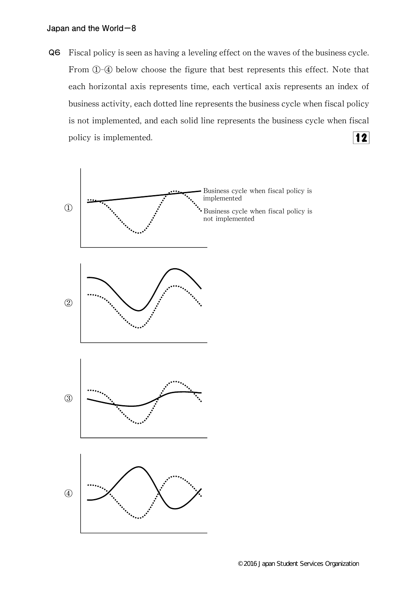Q6 Fiscal policy is seen as having a leveling effect on the waves of the business cycle. From  $\bigoplus$ - $\bigoplus$  below choose the figure that best represents this effect. Note that each horizontal axis represents time, each vertical axis represents an index of business activity, each dotted line represents the business cycle when fiscal policy is not implemented, and each solid line represents the business cycle when fiscal  $|12|$ policy is implemented.

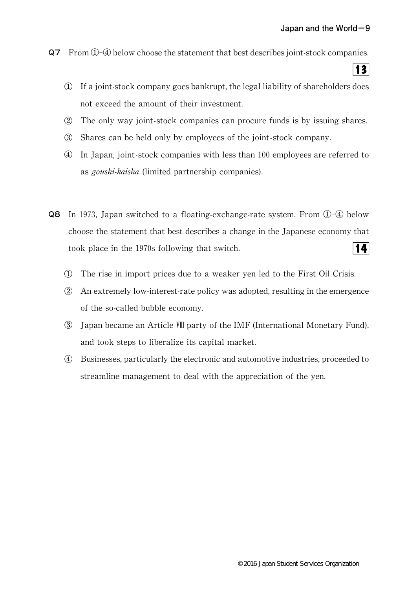$|3|$ 

- Q7 From①-④ below choose the statement that best describes joint-stock companies.
	- $\Phi$  If a joint-stock company goes bankrupt, the legal liability of shareholders does not exceed the amount of their investment.
	- ② The only way joint-stock companies can procure funds is by issuing shares.
	- ③ Shares can be held only by employees of the joint-stock company.
	- ④ In Japan,joint-stock companies with less than 100 employees are referred to as goushi-kaisha (limited partnership companies).
- Q8 In 1973, Japan switched to a floating-exchange-rate system. From ①-④ below choose the statement that best describes a change in the Japanese economy that took place in the 1970s following that switch. 14
	- ① The rise in import prices due to a weaker yen led to the First Oil Crisis.
	- $\Omega$  An extremely low-interest-rate policy was adopted, resulting in the emergence of the so-called bubble economy.
	- ③ Japan became an ArticleⅧ party of the IMF(International Monetary Fund), and took steps to liberalize its capital market.
	- ④ Businesses,particularly the electronic and automotive industries,proceeded to streamline management to deal with the appreciation of the yen.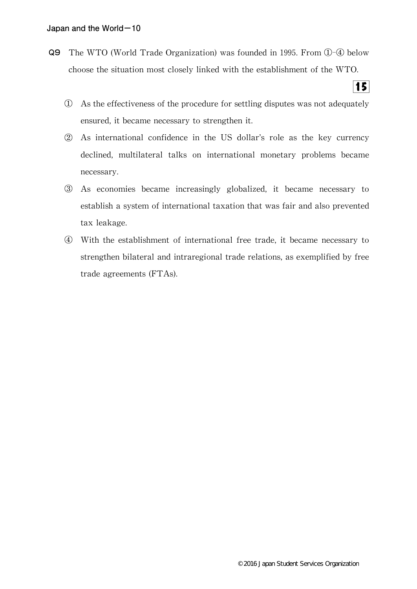- Q9 The WTO (World Trade Organization) was founded in 1995. From ①-④ below choose the situation most closely linked with the establishment of the WTO.
	- ① As the effectiveness of the procedure for settling disputes was not adequately ensured, it became necessary to strengthen it.

 $15<sup>1</sup>$ 

- ② As international confidence in the US dollar's role as the key currency declined, multilateral talks on international monetary problems became necessary.
- ③ As economies became increasingly globalized,it became necessary to establish a system of international taxation that was fair and also prevented tax leakage.
- ④ With the establishment of international free trade,it became necessary to strengthen bilateral and intraregional trade relations, as exemplified by free trade agreements(FTAs).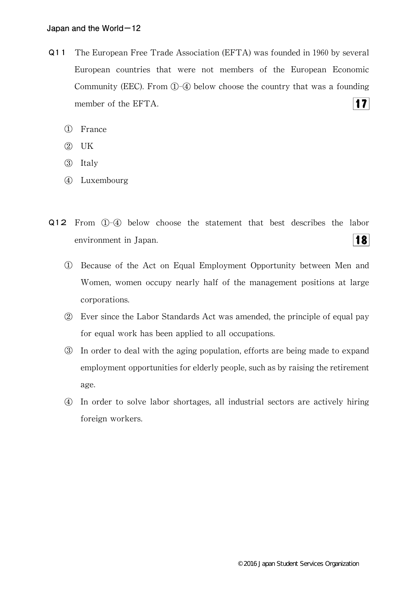- Q11 The European Free Trade Association (EFTA) was founded in 1960 by several European countries that were not members of the European Economic Community (EEC). From  $\mathbb{O}(\sqrt{4})$  below choose the country that was a founding  $|17|$ member of the EFTA.
	- ① France
	- ② UK
	- ③ Italy
	- ④ Luxembourg
- Q12 From ①-④ below choose the statement that best describes the labor  $|18|$ environment in Japan.
	- ① Because of the Act on Equal Employment Opportunity between Men and Women, women occupy nearly half of the management positions at large corporations.
	- ② Ever since the Labor Standards Act was amended,the principle of equal pay for equal work has been applied to all occupations.
	- ③ In order to deal with the aging population,efforts are being made to expand employment opportunities for elderly people, such as by raising the retirement age.
	- ④ In order to solve labor shortages,all industrial sectors are actively hiring foreign workers.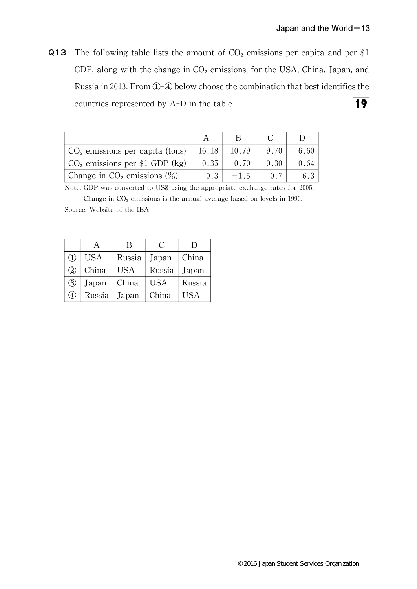Q13 The following table lists the amount of  $CO<sub>2</sub>$  emissions per capita and per \$1 GDP, along with the change in  $CO<sub>2</sub>$  emissions, for the USA, China, Japan, and Russia in 2013. From ①-④ below choose the combination that best identifies the  $\overline{19}$ countries represented by A-D in the table.

| $CO2$ emissions per capita (tons) | 16.18 | 10.79  | 9 70 | 6.60 |
|-----------------------------------|-------|--------|------|------|
| $CO2$ emissions per \$1 GDP (kg)  | 0.35  | 0.70   | 0.30 | 0.64 |
| Change in $CO2$ emissions $(\%)$  | 0.3   | $-1.5$ |      |      |

Note: GDP was converted to US\$ using the appropriate exchange rates for 2005.

Change in  $CO<sub>2</sub>$  emissions is the annual average based on levels in 1990. Source: Website of the IEA

|                                | A      | В          | C          | $\Box$     |
|--------------------------------|--------|------------|------------|------------|
| $\textcircled{\scriptsize{1}}$ | USA    | Russia     | Japan      | China      |
| $\left( 2\right)$              | China  | <b>USA</b> | Russia     | Japan      |
| $\circled{3}$                  | Japan  | China      | <b>USA</b> | Russia     |
| $\scriptstyle{(4)}$            | Russia | Japan      | China      | <b>USA</b> |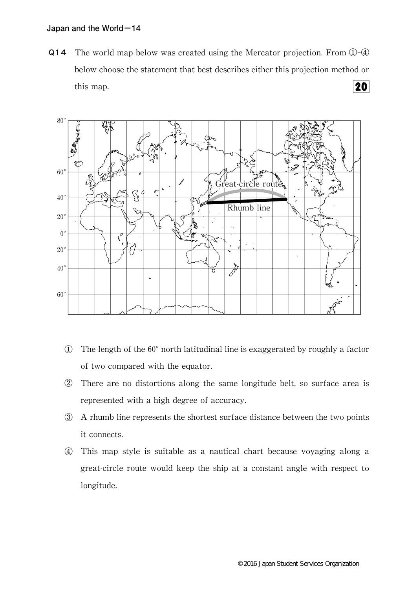Q14 The world map below was created using the Mercator projection. From  $\Omega$ -4 below choose the statement that best describes either this projection method or 20 this map.



- $\Phi$  The length of the 60 $^{\circ}$  north latitudinal line is exaggerated by roughly a factor of two compared with the equator.
- ② There are no distortions along the same longitude belt,so surface area is represented with a high degree of accuracy.
- ③ A rhumb line represents the shortest surface distance between the two points it connects.
- ④ This map style is suitable as a nautical chart because voyaging along a great-circle route would keep the ship at a constant angle with respect to longitude.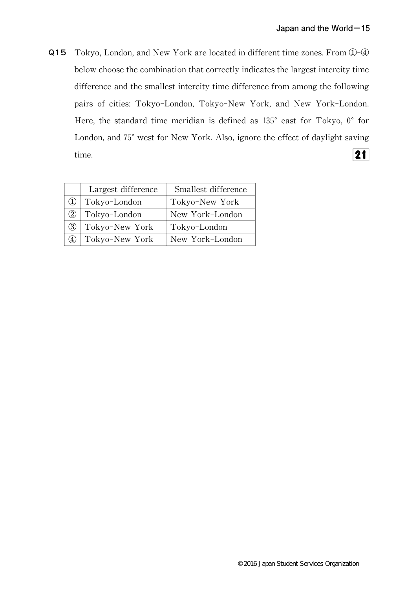Q15 Tokyo, London, and New York are located in different time zones. From  $\textcircled{1}-\textcircled{4}$ below choose the combination that correctly indicates the largest intercity time difference and the smallest intercity time difference from among the following pairs of cities: Tokyo-London, Tokyo-New York, and New York-London. Here, the standard time meridian is defined as  $135^{\circ}$  east for Tokyo,  $0^{\circ}$  for London, and 75° west for New York. Also, ignore the effect of daylight saving  $|21|$ time.

|     | Largest difference | Smallest difference |
|-----|--------------------|---------------------|
|     | Tokyo-London       | Tokyo-New York      |
| (2) | Tokyo-London       | New York-London     |
| (3) | Tokyo-New York     | Tokyo-London        |
|     | Tokyo-New York     | New York-London     |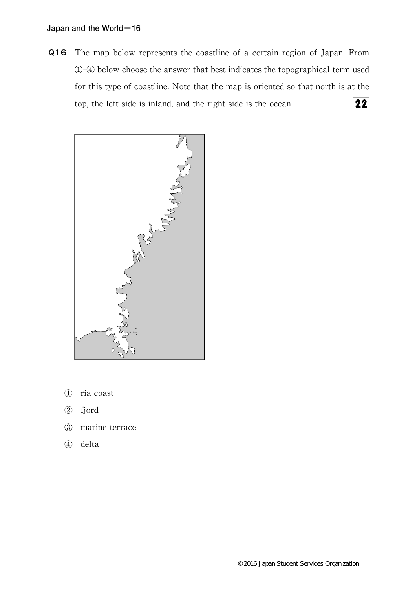Q16 The map below represents the coastline of a certain region of Japan. From ①-④ below choose the answer that best indicates the topographical term used for this type of coastline. Note that the map is oriented so that north is at the  $\overline{22}$ top, the left side is inland, and the right side is the ocean.



- ① ria coast
- ② fjord
- ③ marine terrace
- ④ delta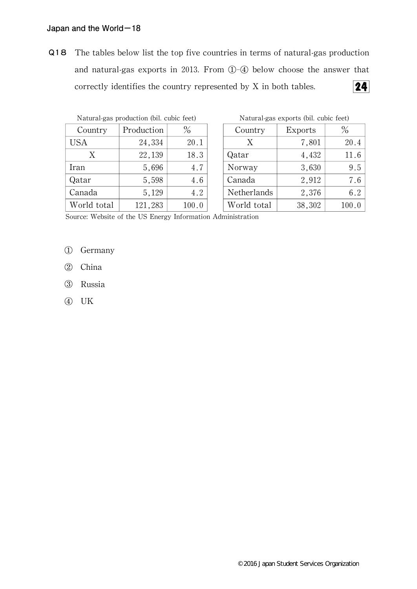Q18 The tables below list the top five countries in terms of natural-gas production and natural-gas exports in 2013. From  $(1)$ - $(4)$  below choose the answer that  $24$ correctly identifies the country represented by X in both tables.

| Natural-gas production (bil. cubic feet) |            |       |        | Natural-gas exports (bil. c |         |  |  |
|------------------------------------------|------------|-------|--------|-----------------------------|---------|--|--|
| Country                                  | Production | $\%$  |        | Country                     | Exports |  |  |
| <b>USA</b>                               | 24,334     | 20.1  |        | Χ                           | 7,801   |  |  |
| X                                        | 22,139     | 18.3  | Qatar  |                             | 4,432   |  |  |
| Iran                                     | 5,696      | 4.7   | Norway |                             | 3,630   |  |  |
| Qatar                                    | 5,598      | 4.6   | Canada |                             | 2,912   |  |  |
| Canada                                   | 5,129      | 4.2   |        | Netherlands                 | 2,376   |  |  |
| World total                              | 121,283    | 100.0 |        | World total                 | 38,302  |  |  |

Natural-gas exports (bil. cubic feet)

| Country     | <b>Exports</b> | $\%$  |  |
|-------------|----------------|-------|--|
| X           | 7,801          | 20.4  |  |
| Qatar       | 4,432          | 11.6  |  |
| Norway      | 3,630          | 9.5   |  |
| Canada      | 2,912          | 7.6   |  |
| Netherlands | 2,376          | 6.2   |  |
| World total | 38,302         | 100.0 |  |

Source: Website of the US Energy Information Administration

- ① Germany
- ② China
- ③ Russia
- ④ UK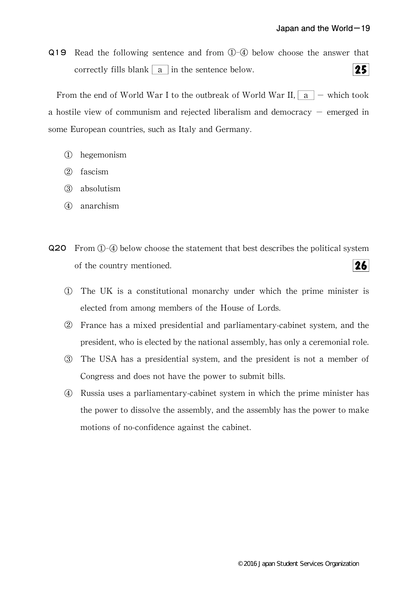Q19 Read the following sentence and from ①-④ below choose the answer that correctly fills blank  $\vert a \vert$  in the sentence below.  $25$ 

From the end of World War I to the outbreak of World War II,  $|a|$  - which took a hostile view of communism and rejected liberalism and democracy  $-$  emerged in some European countries, such as Italy and Germany.

- ① hegemonism
- ② fascism
- ③ absolutism
- ④ anarchism
- Q20 From ①-④ below choose the statement that best describes the political system of the country mentioned.  $26<sup>1</sup>$ 
	- ① The UK is a constitutional monarchy under which the prime minister is elected from among members of the House of Lords.
	- ② France has a mixed presidential and parliamentary-cabinet system,and the president, who is elected by the national assembly, has only a ceremonial role.
	- ③ The USA has a presidential system,and the president is not a member of Congress and does not have the power to submit bills.
	- ④ Russia uses a parliamentary-cabinet system in which the prime minister has the power to dissolve the assembly, and the assembly has the power to make motions of no-confidence against the cabinet.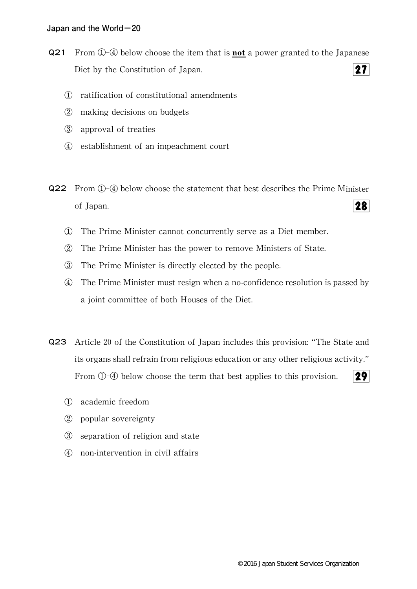- **Q21** From  $\hat{U}$ - $\hat{U}$  below choose the item that is **not** a power granted to the Japanese  $27<sup>l</sup>$ Diet by the Constitution of Japan.
	- ① ratification of constitutional amendments
	- ② making decisions on budgets
	- ③ approval of treaties
	- ④ establishment of an impeachment court
- Q22 From ①-④ below choose the statement that best describes the Prime Minister 28 of Japan.
	- ① The Prime Minister cannot concurrently serve as a Diet member.
	- ② The Prime Minister has the power to remove Ministers of State.
	- ③ The Prime Minister is directly elected by the people.
	- ④ The Prime Minister must resign when a no-confidence resolution is passed by a joint committee of both Houses of the Diet.
- Q23 Article 20 of the Constitution of Japan includes this provision:"The State and its organs shall refrain from religious education or any other religious activity." From  $(1)$ - $(4)$  below choose the term that best applies to this provision.  $29<sup>°</sup>$ 
	- ① academic freedom
	- ② popular sovereignty
	- ③ separation of religion and state
	- ④ non-intervention in civil affairs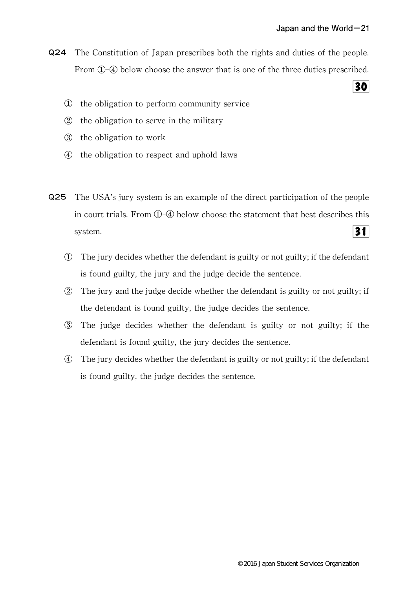Q24 The Constitution of Japan prescribes both the rights and duties of the people. From ①-④ below choose the answer that is one of the three duties prescribed.

30

- ① the obligation to perform community service
- ② the obligation to serve in the military
- ③ the obligation to work
- ④ the obligation to respect and uphold laws
- Q25 The USA's jury system is an example of the direct participation of the people in court trials.From ①-④ below choose the statement that best describes this  $31$ system.
	- ① The jury decides whether the defendant is guilty or not guilty;if the defendant is found guilty, the jury and the judge decide the sentence.
	- ② The jury and the judge decide whether the defendant is guilty or not guilty;if the defendant is found guilty, the judge decides the sentence.
	- ③ The judge decides whether the defendant is guilty or not guilty;if the defendant is found guilty, the jury decides the sentence.
	- ④ The jury decides whether the defendant is guilty or not guilty;if the defendant is found guilty, the judge decides the sentence.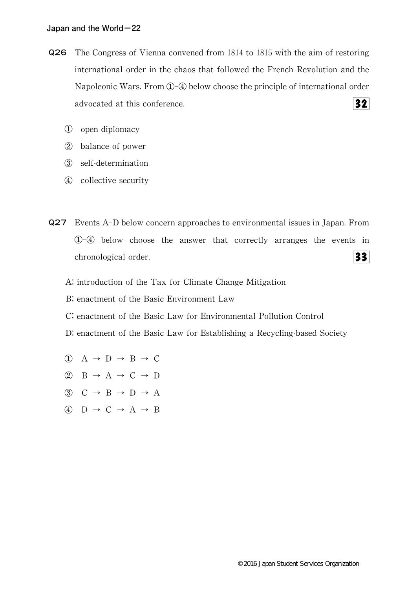- Q26 The Congress of Vienna convened from 1814 to 1815 with the aim of restoring international order in the chaos that followed the French Revolution and the Napoleonic Wars. From  $\mathbb{O}$ - $\mathbb{Q}$  below choose the principle of international order  $32<sub>1</sub>$ advocated at this conference.
	- ① open diplomacy
	- ② balance of power
	- ③ self-determination
	- ④ collective security
- Q27 Events A-D below concern approaches to environmental issues in Japan.From ①-④ below choose the answer that correctly arranges the events in chronological order.  $33$ 
	- A: introduction of the Tax for Climate Change Mitigation
	- B: enactment of the Basic Environment Law
	- C:enactment of the Basic Law for Environmental Pollution Control
	- D: enactment of the Basic Law for Establishing a Recycling-based Society
	- $\overline{(1)}$  A  $\rightarrow$  D  $\rightarrow$  B  $\rightarrow$  C
	- ② B→A→C→D
	- $\circled{3}$  C  $\rightarrow$  B  $\rightarrow$  D  $\rightarrow$  A
	- ④ D→C→A→B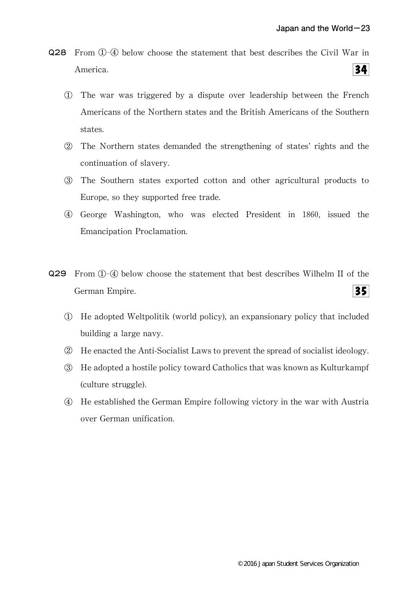- Q28 From ①-④ below choose the statement that best describes the Civil War in  $34<sup>1</sup>$ America.
	- ① The war was triggered by a dispute over leadership between the French Americans of the Northern states and the British Americans of the Southern states.
	- ② The Northern states demanded the strengthening of states'rights and the continuation of slavery.
	- ③ The Southern states exported cotton and other agricultural products to Europe, so they supported free trade.
	- ④ George Washington,who was elected President in 1860,issued the Emancipation Proclamation.
- Q29 From ①-④ below choose the statement that best describes Wilhelm II of the  $35$ German Empire.
	- ① He adopted Weltpolitik(world policy),an expansionary policy that included building a large navy.
	- ② He enacted the Anti-Socialist Laws to prevent the spread of socialist ideology.
	- ③ He adopted a hostile policy toward Catholics that was known as Kulturkampf (culture struggle).
	- ④ He established the German Empire following victory in the war with Austria over German unification.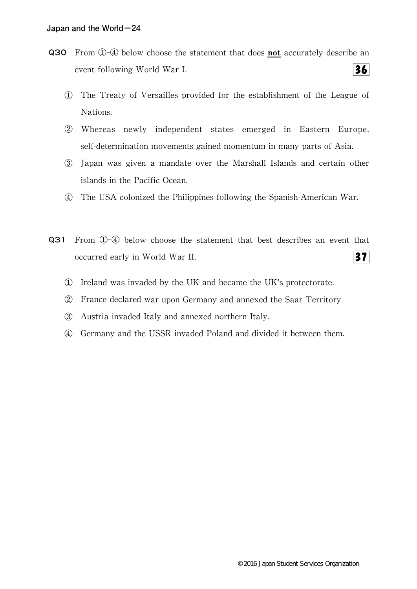- Q30 From 1-4 below choose the statement that does not accurately describe an  $36<sup>l</sup>$ event following World War I.
	- ① The Treaty of Versailles provided for the establishment of the League of Nations.
	- ② Whereas newly independent states emerged in Eastern Europe, self-determination movements gained momentum in many parts of Asia.
	- ③ Japan was given a mandate over the Marshall Islands and certain other islands in the Pacific Ocean.
	- ④ The USA colonized the Philippines following the Spanish-American War.
- Q31 From ①-④ below choose the statement that best describes an event that occurred early in World War II.  $37<sup>l</sup>$ 
	- ① Ireland was invaded by the UK and became the UK's protectorate.
	- ② France declared war upon Germany and annexed the Saar Territory.
	- ③ Austria invaded Italy and annexed northern Italy.
	- ④ Germany and the USSR invaded Poland and divided it between them.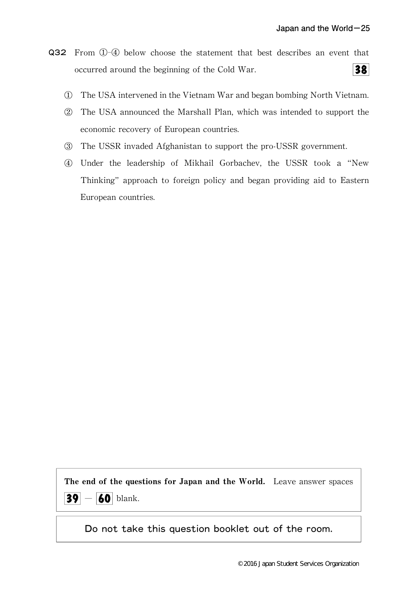- Q32 From ①-④ below choose the statement that best describes an event that  $38<sup>2</sup>$ occurred around the beginning of the Cold War.
	- ① The USA intervened in the Vietnam War and began bombing North Vietnam.
	- ② The USA announced the Marshall Plan,which was intended to support the economic recovery of European countries.
	- ③ The USSR invaded Afghanistan to support the pro-USSR government.
	- ④ Under the leadership of Mikhail Gorbachev,the USSR took a"New Thinking"approach to foreign policy and began providing aid to Eastern European countries.

The end of the questions for Japan and the World. Leave answer spaces  $|39| - |60|$  blank.

Do not take this question booklet out of the room.